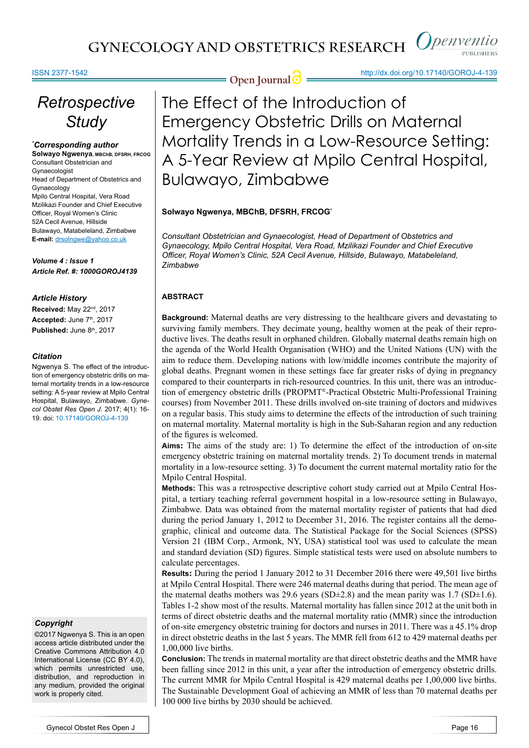#### ISSN 2377-1542

# *Retrospective Study*

#### *\* Corresponding author*

**Solwayo Ngwenya, MBChB, DFSRH, FRCOG** Consultant Obstetrician and Gynaecologist Head of Department of Obstetrics and Gynaecology Mpilo Central Hospital, Vera Road Mzilikazi Founder and Chief Executive Officer, Royal Women's Clinic 52A Cecil Avenue, Hillside Bulawayo, Matabeleland, Zimbabwe **E-mail:** drsolngwe@yahoo.co.uk

*Volume 4 : Issue 1 Article Ref. #: 1000GOROJ4139*

#### *Article History*

**Received:** May 22nd, 2017 Accepted: June 7<sup>th</sup>, 2017 Published: June 8<sup>th</sup>, 2017

#### *Citation*

Ngwenya S. The effect of the introduction of emergency obstetric drills on maternal mortality trends in a low-resource setting: A 5-year review at Mpilo Central Hospital, Bulawayo, Zimbabwe. *Gynecol Obstet Res Open J*. 2017; 4(1): 16- 19. doi: 10.17140/GOROJ-4-139

#### *Copyright*

©2017 Ngwenya S. This is an open access article distributed under the Creative Commons Attribution 4.0 International License (CC BY 4.0), which permits unrestricted use. distribution, and reproduction in any medium, provided the original work is properly cited.

**Open Journal @** http://dx.doi.org/10.17140/GOROJ-4-139

The Effect of the Introduction of Emergency Obstetric Drills on Maternal Mortality Trends in a Low-Resource Setting: A 5-Year Review at Mpilo Central Hospital, Bulawayo, Zimbabwe

### **Solwayo Ngwenya, MBChB, DFSRH, FRCOG\***

*Consultant Obstetrician and Gynaecologist, Head of Department of Obstetrics and Gynaecology, Mpilo Central Hospital, Vera Road, Mzilikazi Founder and Chief Executive Officer, Royal Women's Clinic, 52A Cecil Avenue, Hillside, Bulawayo, Matabeleland, Zimbabwe*

### **ABSTRACT**

**Background:** Maternal deaths are very distressing to the healthcare givers and devastating to surviving family members. They decimate young, healthy women at the peak of their reproductive lives. The deaths result in orphaned children. Globally maternal deaths remain high on the agenda of the World Health Organisation (WHO) and the United Nations (UN) with the aim to reduce them. Developing nations with low/middle incomes contribute the majority of global deaths. Pregnant women in these settings face far greater risks of dying in pregnancy compared to their counterparts in rich-resourced countries. In this unit, there was an introduction of emergency obstetric drills (PROPMT®-Practical Obstetric Multi-Professional Training courses) from November 2011. These drills involved on-site training of doctors and midwives on a regular basis. This study aims to determine the effects of the introduction of such training on maternal mortality. Maternal mortality is high in the Sub-Saharan region and any reduction of the figures is welcomed.

**Aims:** The aims of the study are: 1) To determine the effect of the introduction of on-site emergency obstetric training on maternal mortality trends. 2) To document trends in maternal mortality in a low-resource setting. 3) To document the current maternal mortality ratio for the Mpilo Central Hospital.

**Methods:** This was a retrospective descriptive cohort study carried out at Mpilo Central Hospital, a tertiary teaching referral government hospital in a low-resource setting in Bulawayo, Zimbabwe. Data was obtained from the maternal mortality register of patients that had died during the period January 1, 2012 to December 31, 2016. The register contains all the demographic, clinical and outcome data. The Statistical Package for the Social Sciences (SPSS) Version 21 (IBM Corp., Armonk, NY, USA) statistical tool was used to calculate the mean and standard deviation (SD) figures. Simple statistical tests were used on absolute numbers to calculate percentages.

**Results:** During the period 1 January 2012 to 31 December 2016 there were 49,501 live births at Mpilo Central Hospital. There were 246 maternal deaths during that period. The mean age of the maternal deaths mothers was 29.6 years (SD $\pm$ 2.8) and the mean parity was 1.7 (SD $\pm$ 1.6). Tables 1-2 show most of the results. Maternal mortality has fallen since 2012 at the unit both in terms of direct obstetric deaths and the maternal mortality ratio (MMR) since the introduction of on-site emergency obstetric training for doctors and nurses in 2011. There was a 45.1% drop in direct obstetric deaths in the last 5 years. The MMR fell from 612 to 429 maternal deaths per 1,00,000 live births.

**Conclusion:** The trends in maternal mortality are that direct obstetric deaths and the MMR have been falling since 2012 in this unit, a year after the introduction of emergency obstetric drills. The current MMR for Mpilo Central Hospital is 429 maternal deaths per 1,00,000 live births. The Sustainable Development Goal of achieving an MMR of less than 70 maternal deaths per 100 000 live births by 2030 should be achieved.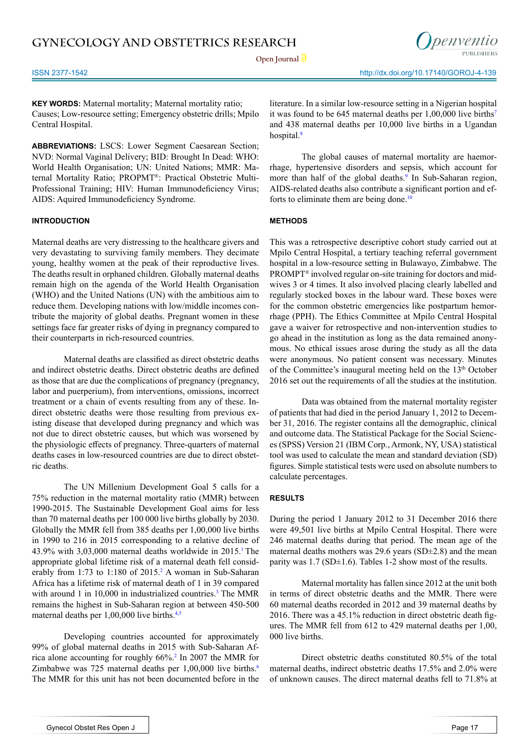**Open Journal**

ISSN 2377-1542 http://dx.doi.org/10.17140/GOROJ-4-139

nenventio

**KEY WORDS:** Maternal mortality; Maternal mortality ratio; Causes; Low-resource setting; Emergency obstetric drills; Mpilo Central Hospital.

**ABBREVIATIONS:** LSCS: Lower Segment Caesarean Section; NVD: Normal Vaginal Delivery; BID: Brought In Dead: WHO: World Health Organisation; UN: United Nations; MMR: Maternal Mortality Ratio; PROPMT®: Practical Obstetric Multi-Professional Training; HIV: Human Immunodeficiency Virus; AIDS: Aquired Immunodeficiency Syndrome.

#### **INTRODUCTION**

Maternal deaths are very distressing to the healthcare givers and very devastating to surviving family members. They decimate young, healthy women at the peak of their reproductive lives. The deaths result in orphaned children. Globally maternal deaths remain high on the agenda of the World Health Organisation (WHO) and the United Nations (UN) with the ambitious aim to reduce them. Developing nations with low/middle incomes contribute the majority of global deaths. Pregnant women in these settings face far greater risks of dying in pregnancy compared to their counterparts in rich-resourced countries.

Maternal deaths are classified as direct obstetric deaths and indirect obstetric deaths. Direct obstetric deaths are defined as those that are due the complications of pregnancy (pregnancy, labor and puerperium), from interventions, omissions, incorrect treatment or a chain of events resulting from any of these. Indirect obstetric deaths were those resulting from previous existing disease that developed during pregnancy and which was not due to direct obstetric causes, but which was worsened by the physiologic effects of pregnancy. Three-quarters of maternal deaths cases in low-resourced countries are due to direct obstetric deaths.

The UN Millenium Development Goal 5 calls for a 75% reduction in the maternal mortality ratio (MMR) between 1990-2015. The Sustainable Development Goal aims for less than 70 maternal deaths per 100 000 live births globally by 2030. Globally the MMR fell from 385 deaths per 1,00,000 live births in 1990 to 216 in 2015 corresponding to a relative decline of 43.9% with  $3.03,000$  maternal deaths worldwide in  $2015$ .<sup>1</sup> The appropriate global lifetime risk of a maternal death fell considerably from 1:73 to 1:180 of 2015.<sup>2</sup> A woman in Sub-Saharan Africa has a lifetime risk of maternal death of 1 in 39 compared with around 1 in 10,000 in industrialized countries.<sup>3</sup> The MMR remains the highest in Sub-Saharan region at between 450-500 maternal deaths per 1,00,000 live births.<sup>4,5</sup>

Developing countries accounted for approximately 99% of global maternal deaths in 2015 with Sub-Saharan Africa alone accounting for roughly 66%[.2](#page-2-1) In 2007 the MMR for Zimbabwe was 725 maternal deaths per 1,00,000 live births.<sup>[6](#page-3-2)</sup> The MMR for this unit has not been documented before in the

literature. In a similar low-resource setting in a Nigerian hospital it was found to be 645 maternal deaths per  $1,00,000$  live births<sup>7</sup> and 438 maternal deaths per 10,000 live births in a Ugandan hospital.<sup>[8](#page-3-4)</sup>

The global causes of maternal mortality are haemorrhage, hypertensive disorders and sepsis, which account for more than half of the global deaths.<sup>9</sup> In Sub-Saharan region, AIDS-related deaths also contribute a significant portion and efforts to eliminate them are being done.<sup>10</sup>

#### **METHODS**

This was a retrospective descriptive cohort study carried out at Mpilo Central Hospital, a tertiary teaching referral government hospital in a low-resource setting in Bulawayo, Zimbabwe. The PROMPT® involved regular on-site training for doctors and midwives 3 or 4 times. It also involved placing clearly labelled and regularly stocked boxes in the labour ward. These boxes were for the common obstetric emergencies like postpartum hemorrhage (PPH). The Ethics Committee at Mpilo Central Hospital gave a waiver for retrospective and non-intervention studies to go ahead in the institution as long as the data remained anonymous. No ethical issues arose during the study as all the data were anonymous. No patient consent was necessary. Minutes of the Committee's inaugural meeting held on the 13<sup>th</sup> October 2016 set out the requirements of all the studies at the institution.

Data was obtained from the maternal mortality register of patients that had died in the period January 1, 2012 to December 31, 2016. The register contains all the demographic, clinical and outcome data. The Statistical Package for the Social Sciences (SPSS) Version 21 (IBM Corp., Armonk, NY, USA) statistical tool was used to calculate the mean and standard deviation (SD) figures. Simple statistical tests were used on absolute numbers to calculate percentages.

#### **RESULTS**

During the period 1 January 2012 to 31 December 2016 there were 49,501 live births at Mpilo Central Hospital. There were 246 maternal deaths during that period. The mean age of the maternal deaths mothers was 29.6 years (SD±2.8) and the mean parity was 1.7 (SD±1.6). Tables 1-2 show most of the results.

Maternal mortality has fallen since 2012 at the unit both in terms of direct obstetric deaths and the MMR. There were 60 maternal deaths recorded in 2012 and 39 maternal deaths by 2016. There was a 45.1% reduction in direct obstetric death figures. The MMR fell from 612 to 429 maternal deaths per 1,00, 000 live births.

Direct obstetric deaths constituted 80.5% of the total maternal deaths, indirect obstetric deaths 17.5% and 2.0% were of unknown causes. The direct maternal deaths fell to 71.8% at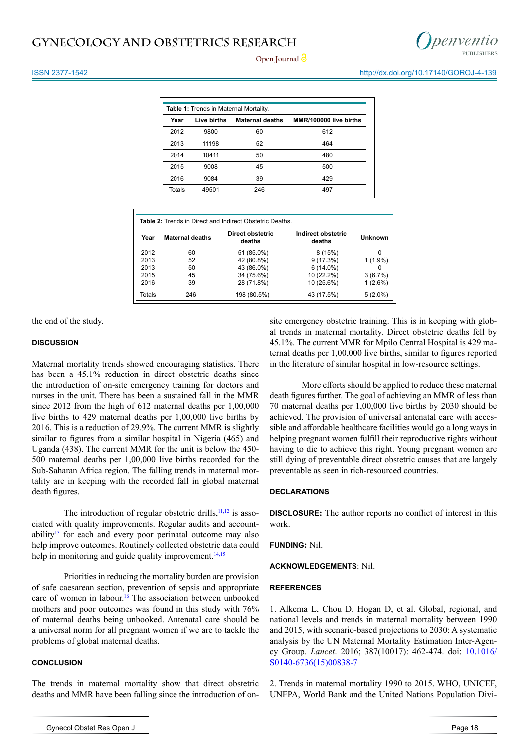# **GYNECOLOGY AND OBSTETRICS RESEARCH**



**Open Journal**

ISSN 2377-1542 http://dx.doi.org/10.17140/GOROJ-4-139

| <b>Table 1: Trends in Maternal Mortality.</b> |             |                        |                        |  |  |
|-----------------------------------------------|-------------|------------------------|------------------------|--|--|
| Year                                          | Live births | <b>Maternal deaths</b> | MMR/100000 live births |  |  |
| 2012                                          | 9800        | 60                     | 612                    |  |  |
| 2013                                          | 11198       | 52                     | 464                    |  |  |
| 2014                                          | 10411       | 50                     | 480                    |  |  |
| 2015                                          | 9008        | 45                     | 500                    |  |  |
| 2016                                          | 9084        | 39                     | 429                    |  |  |
| Totals                                        | 49501       | 246                    | 497                    |  |  |

| <b>Table 2:</b> Trends in Direct and Indirect Obstetric Deaths. |                        |                            |                              |                |  |
|-----------------------------------------------------------------|------------------------|----------------------------|------------------------------|----------------|--|
| Year                                                            | <b>Maternal deaths</b> | Direct obstetric<br>deaths | Indirect obstetric<br>deaths | <b>Unknown</b> |  |
| 2012                                                            | 60                     | 51 (85.0%)                 | 8(15%)                       | 0              |  |
| 2013                                                            | 52                     | 42 (80.8%)                 | 9(17.3%)                     | $1(1.9\%)$     |  |
| 2013                                                            | 50                     | 43 (86.0%)                 | $6(14.0\%)$                  | $\Omega$       |  |
| 2015                                                            | 45                     | 34 (75.6%)                 | 10 (22.2%)                   | 3(6.7%)        |  |
| 2016                                                            | 39                     | 28 (71.8%)                 | 10 (25.6%)                   | 1(2.6%)        |  |
| Totals                                                          | 246                    | 198 (80.5%)                | 43 (17.5%)                   | $5(2.0\%)$     |  |

the end of the study.

#### **DISCUSSION**

Maternal mortality trends showed encouraging statistics. There has been a 45.1% reduction in direct obstetric deaths since the introduction of on-site emergency training for doctors and nurses in the unit. There has been a sustained fall in the MMR since 2012 from the high of 612 maternal deaths per 1,00,000 live births to 429 maternal deaths per 1,00,000 live births by 2016. This is a reduction of 29.9%. The current MMR is slightly similar to figures from a similar hospital in Nigeria (465) and Uganda (438). The current MMR for the unit is below the 450- 500 maternal deaths per 1,00,000 live births recorded for the Sub-Saharan Africa region. The falling trends in maternal mortality are in keeping with the recorded fall in global maternal death figures.

The introduction of regular obstetric drills, $11,12$  is associated with quality improvements. Regular audits and account-ability<sup>[13](#page-3-8)</sup> for each and every poor perinatal outcome may also help improve outcomes. Routinely collected obstetric data could help in monitoring and guide quality improvement.<sup>[14,15](#page-3-9)</sup>

Priorities in reducing the mortality burden are provision of safe caesarean section, prevention of sepsis and appropriate care of women in labour.<sup>16</sup> The association between unbooked mothers and poor outcomes was found in this study with 76% of maternal deaths being unbooked. Antenatal care should be a universal norm for all pregnant women if we are to tackle the problems of global maternal deaths.

#### **CONCLUSION**

The trends in maternal mortality show that direct obstetric deaths and MMR have been falling since the introduction of onsite emergency obstetric training. This is in keeping with global trends in maternal mortality. Direct obstetric deaths fell by 45.1%. The current MMR for Mpilo Central Hospital is 429 maternal deaths per 1,00,000 live births, similar to figures reported in the literature of similar hospital in low-resource settings.

More efforts should be applied to reduce these maternal death figures further. The goal of achieving an MMR of less than 70 maternal deaths per 1,00,000 live births by 2030 should be achieved. The provision of universal antenatal care with accessible and affordable healthcare facilities would go a long ways in helping pregnant women fulfill their reproductive rights without having to die to achieve this right. Young pregnant women are still dying of preventable direct obstetric causes that are largely preventable as seen in rich-resourced countries.

#### **DECLARATIONS**

**DISCLOSURE:** The author reports no conflict of interest in this work.

**FUNDING:** Nil.

#### **ACKNOWLEDGEMENTS**: Nil.

#### **REFERENCES**

<span id="page-2-0"></span>1. Alkema L, Chou D, Hogan D, et al. Global, regional, and national levels and trends in maternal mortality between 1990 and 2015, with scenario-based projections to 2030: A systematic analysis by the UN Maternal Mortality Estimation Inter-Agency Group. *Lancet*. 2016; 387(10017): 462-474. doi: [10.1016/](http://dx.doi.org/10.1016/S0140-6736%2815%2900838-7) [S0140-6736\(15\)00838-7](http://dx.doi.org/10.1016/S0140-6736%2815%2900838-7)

<span id="page-2-1"></span>2. Trends in maternal mortality 1990 to 2015. WHO, UNICEF, UNFPA, World Bank and the United Nations Population Divi-